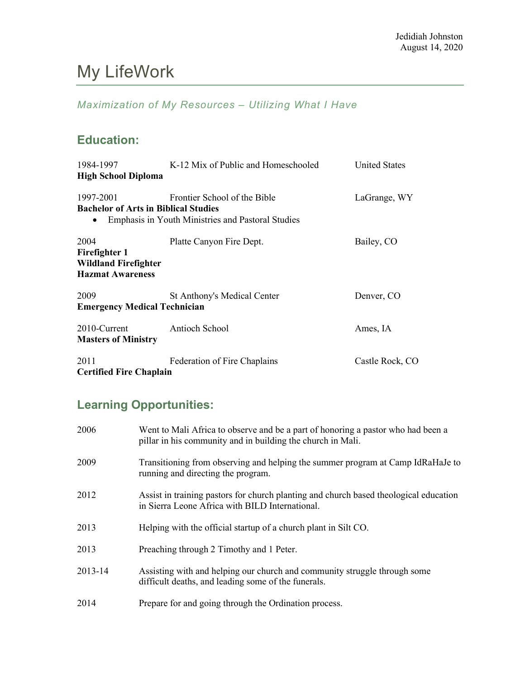# My LifeWork

### *Maximization of My Resources – Utilizing What I Have*

### **Education:**

| 1984-1997                                            | K-12 Mix of Public and Homeschooled                      | <b>United States</b> |
|------------------------------------------------------|----------------------------------------------------------|----------------------|
| <b>High School Diploma</b>                           |                                                          |                      |
| 1997-2001                                            | Frontier School of the Bible                             | LaGrange, WY         |
| <b>Bachelor of Arts in Biblical Studies</b>          |                                                          |                      |
|                                                      | <b>Emphasis in Youth Ministries and Pastoral Studies</b> |                      |
| 2004<br>Firefighter 1<br><b>Wildland Firefighter</b> | Platte Canyon Fire Dept.                                 | Bailey, CO           |
| <b>Hazmat Awareness</b>                              |                                                          |                      |
| 2009                                                 | <b>St Anthony's Medical Center</b>                       | Denver, CO           |
| <b>Emergency Medical Technician</b>                  |                                                          |                      |
| 2010-Current                                         | Antioch School                                           | Ames, IA             |
| <b>Masters of Ministry</b>                           |                                                          |                      |
| 2011                                                 | Federation of Fire Chaplains                             | Castle Rock, CO      |
| <b>Certified Fire Chaplain</b>                       |                                                          |                      |

## **Learning Opportunities:**

| 2006    | Went to Mali Africa to observe and be a part of honoring a pastor who had been a<br>pillar in his community and in building the church in Mali. |
|---------|-------------------------------------------------------------------------------------------------------------------------------------------------|
| 2009    | Transitioning from observing and helping the summer program at Camp IdRaHaJe to<br>running and directing the program.                           |
| 2012    | Assist in training pastors for church planting and church based theological education<br>in Sierra Leone Africa with BILD International.        |
| 2013    | Helping with the official startup of a church plant in Silt CO.                                                                                 |
| 2013    | Preaching through 2 Timothy and 1 Peter.                                                                                                        |
| 2013-14 | Assisting with and helping our church and community struggle through some<br>difficult deaths, and leading some of the funerals.                |
| 2014    | Prepare for and going through the Ordination process.                                                                                           |